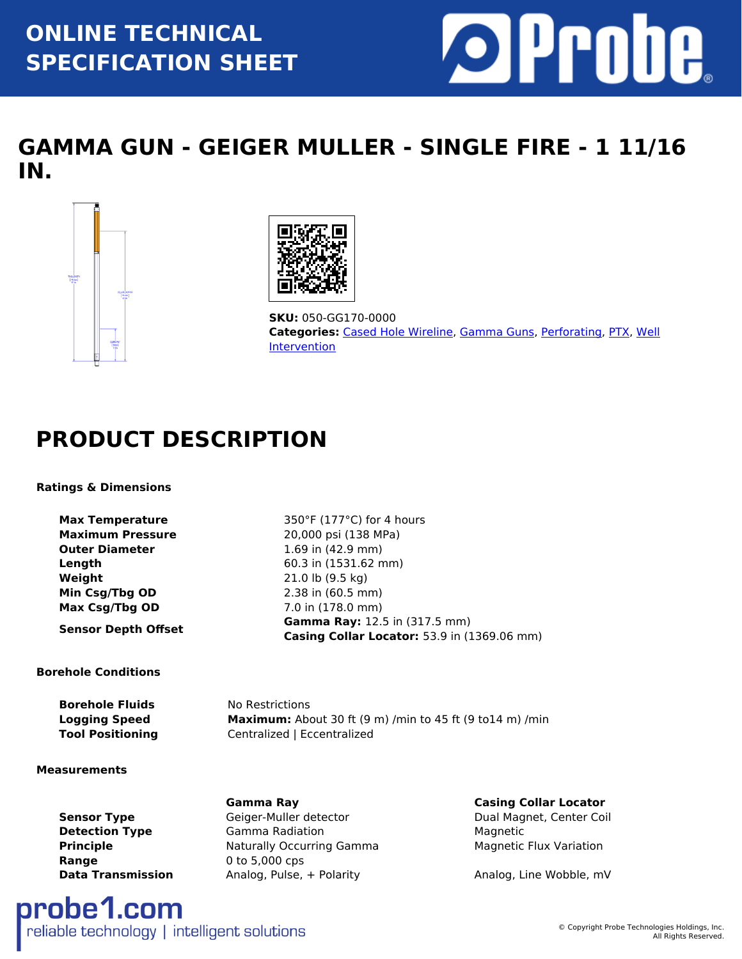## **ONLINE TECHNICAL SPECIFICATION SHEET**



## **GAMMA GUN - GEIGER MULLER - SINGLE FIRE - 1 11/16 IN.**





**SKU:** 050-GG170-0000 **Categories:** [Cased Hole Wireline,](https://www.probe1.com/product-category/cased-hole-wireline/) [Gamma Guns](https://www.probe1.com/product-category/gamma-guns/), [Perforating,](https://www.probe1.com/product-category/perforating/) [PTX,](https://www.probe1.com/product-category/ptx/) [Well](https://www.probe1.com/product-category/well-intervention/) **[Intervention](https://www.probe1.com/product-category/well-intervention/)** 

## **PRODUCT DESCRIPTION**

### **Ratings & Dimensions**

**Max Temperature** 350°F (177°C) for 4 hours **Maximum Pressure** 20,000 psi (138 MPa) **Outer Diameter** 1.69 in (42.9 mm) **Length** 60.3 in (1531.62 mm) **Weight** 21.0 lb (9.5 kg) **Min Csg/Tbg OD** 2.38 in (60.5 mm) **Max Csg/Tbg OD** 7.0 in (178.0 mm)

**Sensor Depth Offset Gamma Ray:** 12.5 in (317.5 mm)

#### **Borehole Conditions**

**Borehole Fluids** No Restrictions **Logging Speed Maximum:** About 30 ft (9 m) /min to 45 ft (9 to14 m) /min **Tool Positioning Centralized | Eccentralized** 

**Casing Collar Locator:** 53.9 in (1369.06 mm)

#### **Measurements**

**Range** 0 to 5,000 cps

**Sensor Type** Geiger-Muller detector **Communist Contract Contract Contract Contract Contract Contract Contract Contract Contract Contract Contract Contract Contract Contract Contract Contract Contract Contract Contract Con Detection Type Gamma Radiation Magnetic Magnetic Principle Naturally Occurring Gamma** Magnetic Flux Variation **Data Transmission** Analog, Pulse, + Polarity **Analog, Line Wobble, mV** 

**Gamma Ray Casing Collar Locator**

## probe1.com reliable technology | intelligent solutions